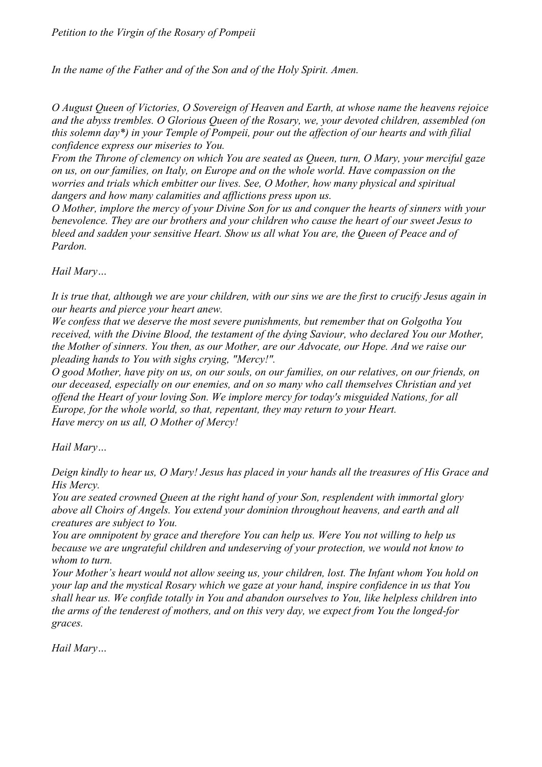*In the name of the Father and of the Son and of the Holy Spirit. Amen.* 

*O August Queen of Victories, O Sovereign of Heaven and Earth, at whose name the heavens rejoice and the abyss trembles. O Glorious Queen of the Rosary, we, your devoted children, assembled (on this solemn day\*) in your Temple of Pompeii, pour out the affection of our hearts and with filial confidence express our miseries to You.* 

*From the Throne of clemency on which You are seated as Queen, turn, O Mary, your merciful gaze on us, on our families, on Italy, on Europe and on the whole world. Have compassion on the worries and trials which embitter our lives. See, O Mother, how many physical and spiritual dangers and how many calamities and afflictions press upon us.* 

*O Mother, implore the mercy of your Divine Son for us and conquer the hearts of sinners with your benevolence. They are our brothers and your children who cause the heart of our sweet Jesus to*  bleed and sadden your sensitive Heart. Show us all what You are, the Queen of Peace and of *Pardon.* 

*Hail Mary…* 

*It is true that, although we are your children, with our sins we are the first to crucify Jesus again in our hearts and pierce your heart anew.* 

*We confess that we deserve the most severe punishments, but remember that on Golgotha You received, with the Divine Blood, the testament of the dying Saviour, who declared You our Mother, the Mother of sinners. You then, as our Mother, are our Advocate, our Hope. And we raise our pleading hands to You with sighs crying, "Mercy!".* 

*O good Mother, have pity on us, on our souls, on our families, on our relatives, on our friends, on our deceased, especially on our enemies, and on so many who call themselves Christian and yet offend the Heart of your loving Son. We implore mercy for today's misguided Nations, for all Europe, for the whole world, so that, repentant, they may return to your Heart. Have mercy on us all, O Mother of Mercy!* 

*Hail Mary…* 

*Deign kindly to hear us, O Mary! Jesus has placed in your hands all the treasures of His Grace and His Mercy.* 

*You are seated crowned Queen at the right hand of your Son, resplendent with immortal glory above all Choirs of Angels. You extend your dominion throughout heavens, and earth and all creatures are subject to You.* 

*You are omnipotent by grace and therefore You can help us. Were You not willing to help us because we are ungrateful children and undeserving of your protection, we would not know to whom to turn.* 

*Your Mother's heart would not allow seeing us, your children, lost. The Infant whom You hold on your lap and the mystical Rosary which we gaze at your hand, inspire confidence in us that You shall hear us. We confide totally in You and abandon ourselves to You, like helpless children into the arms of the tenderest of mothers, and on this very day, we expect from You the longed-for graces.* 

*Hail Mary…*